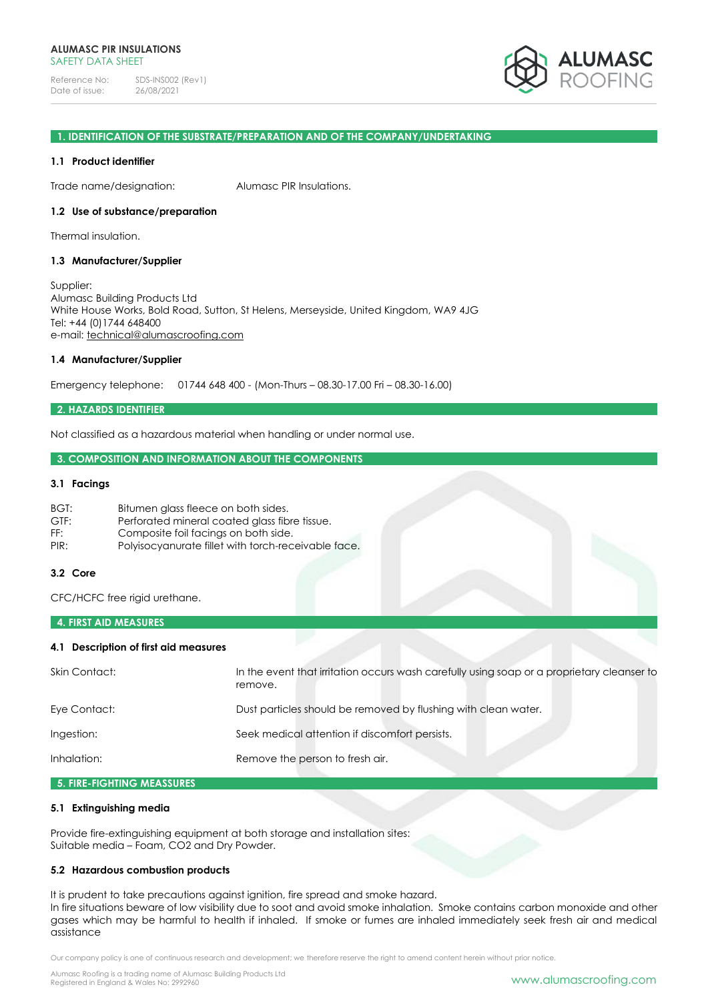Reference No: SDS-INS002 (Rev1)<br>Date of issue: 26/08/2021 Date of issue:



## **1. IDENTIFICATION OF THE SUBSTRATE/PREPARATION AND OF THE COMPANY/UNDERTAKING**

#### **1.1 Product identifier**

Trade name/designation: Alumasc PIR Insulations.

#### **1.2 Use of substance/preparation**

Thermal insulation.

## **1.3 Manufacturer/Supplier**

Supplier: Alumasc Building Products Ltd White House Works, Bold Road, Sutton, St Helens, Merseyside, United Kingdom, WA9 4JG Tel: +44 (0)1744 648400 e-mail: [technical@alumascroofing.com](mailto:technical@alumascroofing.com)

#### **1.4 Manufacturer/Supplier**

Emergency telephone: 01744 648 400 - (Mon-Thurs – 08.30-17.00 Fri – 08.30-16.00)

## **2. HAZARDS IDENTIFIER**

Not classified as a hazardous material when handling or under normal use.

## **3. COMPOSITION AND INFORMATION ABOUT THE COMPONENTS**

## **3.1 Facings**

| BGT: | Bitumen glass fleece on both sides.                 |
|------|-----------------------------------------------------|
| GTF: | Perforated mineral coated glass fibre tissue.       |
| FF:  | Composite foil facings on both side.                |
| PIR: | Polyisocyanurate fillet with torch-receivable face. |

## **3.2 Core**

CFC/HCFC free rigid urethane.

#### **4. FIRST AID MEASURES**

## **4.1 Description of first aid measures**

| Skin Contact: | In the event that irritation occurs wash carefully using soap or a proprietary cleanser to<br>remove. |
|---------------|-------------------------------------------------------------------------------------------------------|
| Eye Contact:  | Dust particles should be removed by flushing with clean water.                                        |
| Ingestion:    | Seek medical attention if discomfort persists.                                                        |
| Inhalation:   | Remove the person to fresh air.                                                                       |
|               |                                                                                                       |

# **5. FIRE-FIGHTING MEASSURES**

# **5.1 Extinguishing media**

Provide fire-extinguishing equipment at both storage and installation sites: Suitable media – Foam, CO2 and Dry Powder.

## **5.2 Hazardous combustion products**

It is prudent to take precautions against ignition, fire spread and smoke hazard.

In fire situations beware of low visibility due to soot and avoid smoke inhalation. Smoke contains carbon monoxide and other gases which may be harmful to health if inhaled. If smoke or fumes are inhaled immediately seek fresh air and medical assistance

Our company policy is one of continuous research and development; we therefore reserve the right to amend content herein without prior notice.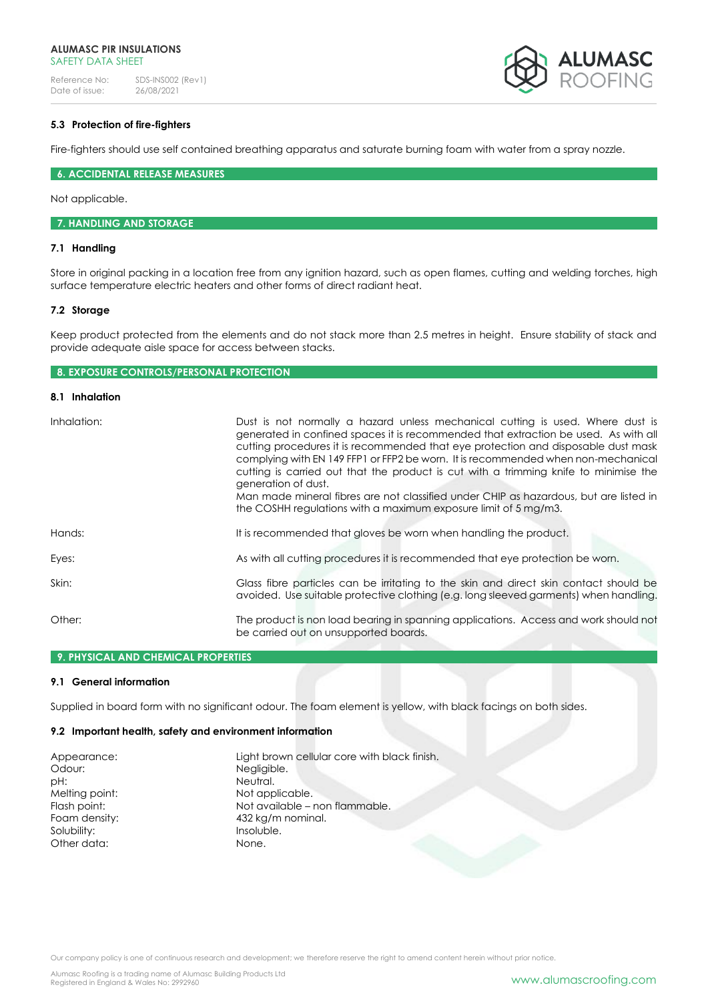#### **ALUMASC PIR INSULATIONS** SAFFTY DATA SHFFT

Reference No: SDS-INS002 (Rev1)<br>Date of issue: 26/08/2021 Date of issue:



## **5.3 Protection of fire-fighters**

Fire-fighters should use self contained breathing apparatus and saturate burning foam with water from a spray nozzle.

## **6. ACCIDENTAL RELEASE MEASURES**

Not applicable.

#### **7. HANDLING AND STORAGE**

## **7.1 Handling**

Store in original packing in a location free from any ignition hazard, such as open flames, cutting and welding torches, high surface temperature electric heaters and other forms of direct radiant heat.

## **7.2 Storage**

Keep product protected from the elements and do not stack more than 2.5 metres in height. Ensure stability of stack and provide adequate aisle space for access between stacks.

# **8. EXPOSURE CONTROLS/PERSONAL PROTECTION**

# **8.1 Inhalation**

| Inhalation: | Dust is not normally a hazard unless mechanical cutting is used. Where dust is<br>generated in confined spaces it is recommended that extraction be used. As with all<br>cutting procedures it is recommended that eye protection and disposable dust mask<br>complying with EN 149 FFP1 or FFP2 be worn. It is recommended when non-mechanical<br>cutting is carried out that the product is cut with a trimming knife to minimise the<br>generation of dust.<br>Man made mineral fibres are not classified under CHIP as hazardous, but are listed in<br>the COSHH regulations with a maximum exposure limit of 5 mg/m3. |
|-------------|----------------------------------------------------------------------------------------------------------------------------------------------------------------------------------------------------------------------------------------------------------------------------------------------------------------------------------------------------------------------------------------------------------------------------------------------------------------------------------------------------------------------------------------------------------------------------------------------------------------------------|
| Hands:      | It is recommended that gloves be worn when handling the product.                                                                                                                                                                                                                                                                                                                                                                                                                                                                                                                                                           |
| Eyes:       | As with all cutting procedures it is recommended that eye protection be worn.                                                                                                                                                                                                                                                                                                                                                                                                                                                                                                                                              |
| Skin:       | Glass fibre particles can be irritating to the skin and direct skin contact should be<br>avoided. Use suitable protective clothing (e.g. long sleeved garments) when handling.                                                                                                                                                                                                                                                                                                                                                                                                                                             |
| Other:      | The product is non load bearing in spanning applications. Access and work should not<br>be carried out on unsupported boards.                                                                                                                                                                                                                                                                                                                                                                                                                                                                                              |

# **9. PHYSICAL AND CHEMICAL PROPERTIES**

## **9.1 General information**

Supplied in board form with no significant odour. The foam element is yellow, with black facings on both sides.

#### **9.2 Important health, safety and environment information**

| Appearance:    | Light brown cellular core with black finish. |
|----------------|----------------------------------------------|
| Odour:         | Negligible.                                  |
| pH:            | Neutral.                                     |
| Melting point: | Not applicable.                              |
| Flash point:   | Not available – non flammable.               |
| Foam density:  | 432 kg/m nominal.                            |
| Solubility:    | Insoluble.                                   |
| Other data:    | None.                                        |

Our company policy is one of continuous research and development; we therefore reserve the right to amend content herein without prior notice.